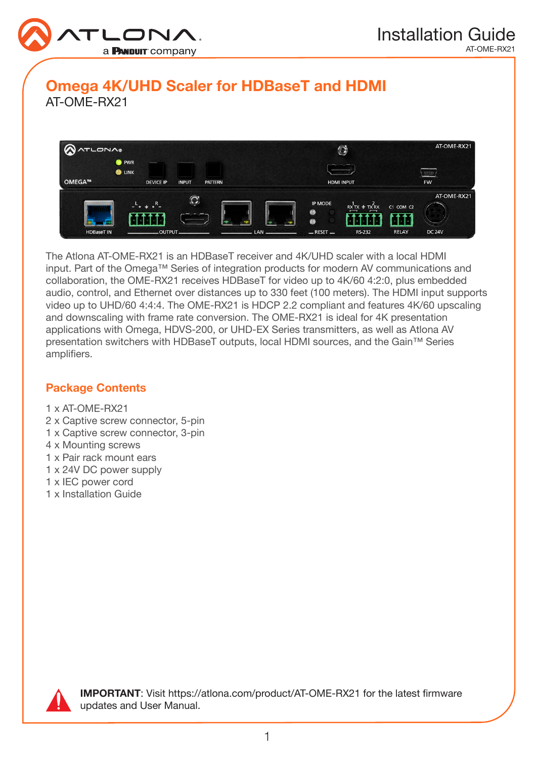

# Omega 4K/UHD Scaler for HDBaseT and HDMI AT-OME-RX21



The Atlona AT-OME-RX21 is an HDBaseT receiver and 4K/UHD scaler with a local HDMI input. Part of the Omega™ Series of integration products for modern AV communications and collaboration, the OME-RX21 receives HDBaseT for video up to 4K/60 4:2:0, plus embedded audio, control, and Ethernet over distances up to 330 feet (100 meters). The HDMI input supports video up to UHD/60 4:4:4. The OME-RX21 is HDCP 2.2 compliant and features 4K/60 upscaling and downscaling with frame rate conversion. The OME-RX21 is ideal for 4K presentation applications with Omega, HDVS-200, or UHD-EX Series transmitters, as well as Atlona AV presentation switchers with HDBaseT outputs, local HDMI sources, and the Gain™ Series amplifiers.

### Package Contents

- 1 x AT-OME-RX21
- 2 x Captive screw connector, 5-pin
- 1 x Captive screw connector, 3-pin
- 4 x Mounting screws
- 1 x Pair rack mount ears
- 1 x 24V DC power supply
- 1 x IEC power cord
- 1 x Installation Guide



IMPORTANT: Visit https://atlona.com/product/AT-OME-RX21 for the latest firmware updates and User Manual.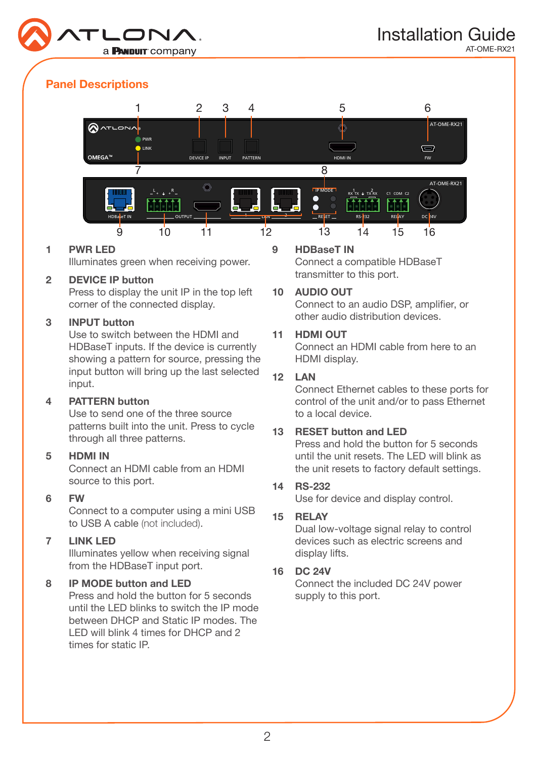

## Panel Descriptions



#### 1 PWR LED

Illuminates green when receiving power.

#### 2 DEVICE IP button

Press to display the unit IP in the top left corner of the connected display.

#### 3 INPUT button

Use to switch between the HDMI and HDBaseT inputs. If the device is currently showing a pattern for source, pressing the input button will bring up the last selected input.

### 4 PATTERN button

Use to send one of the three source patterns built into the unit. Press to cycle through all three patterns.

#### 5 HDMI IN

Connect an HDMI cable from an HDMI source to this port.

#### 6 FW

Connect to a computer using a mini USB to USB A cable (not included).

#### 7 LINK LED

Illuminates yellow when receiving signal from the HDBaseT input port.

### 8 IP MODE button and LED

Press and hold the button for 5 seconds until the LED blinks to switch the IP mode between DHCP and Static IP modes. The LED will blink 4 times for DHCP and 2 times for static IP.

#### 9 HDBaseT IN

Connect a compatible HDBaseT transmitter to this port.

#### 10 AUDIO OUT

Connect to an audio DSP, amplifier, or other audio distribution devices.

### 11 HDMI OUT

Connect an HDMI cable from here to an HDMI display.

#### 12 LAN

Connect Ethernet cables to these ports for control of the unit and/or to pass Ethernet to a local device.

### 13 RESET button and LED

Press and hold the button for 5 seconds until the unit resets. The LED will blink as the unit resets to factory default settings.

#### 14 RS-232

Use for device and display control.

#### 15 RELAY

Dual low-voltage signal relay to control devices such as electric screens and display lifts.

### 16 DC 24V

Connect the included DC 24V power supply to this port.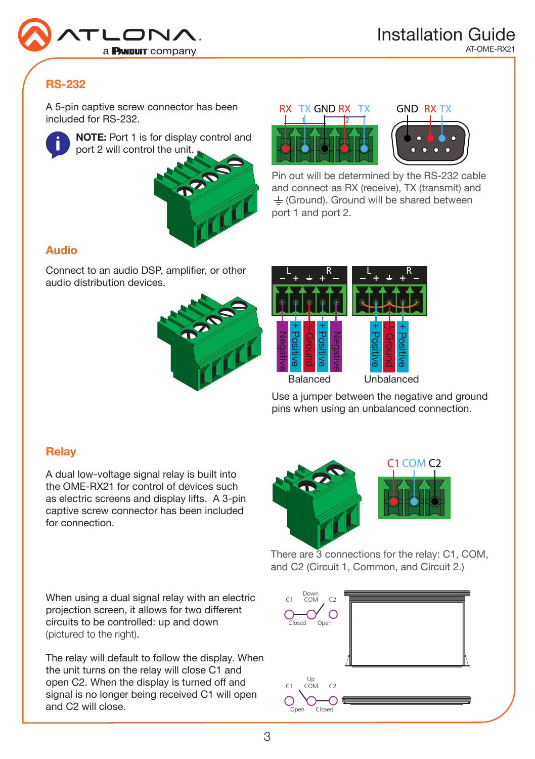

# RS-232

A 5-pin captive screw connector has been included for RS-232.



NOTE: Port 1 is for display control and port 2 will control the unit.







Pin out will be determined by the RS-232 cable and connect as RX (receive), TX (transmit) and  $\pm$  (Ground). Ground will be shared between port 1 and port 2.

## Audio

Connect to an audio DSP, amplifier, or other audio distribution devices.





Use a jumper between the negative and ground pins when using an unbalanced connection.

## **Relay**

A dual low-voltage signal relay is built into the OME-RX21 for control of devices such as electric screens and display lifts. A 3-pin captive screw connector has been included for connection.



There are 3 connections for the relay: C1, COM, and C2 (Circuit 1, Common, and Circuit 2.)

When using a dual signal relay with an electric projection screen, it allows for two different circuits to be controlled: up and down (pictured to the right).

The relay will default to follow the display. When the unit turns on the relay will close C1 and open C2. When the display is turned off and signal is no longer being received C1 will open and C2 will close.

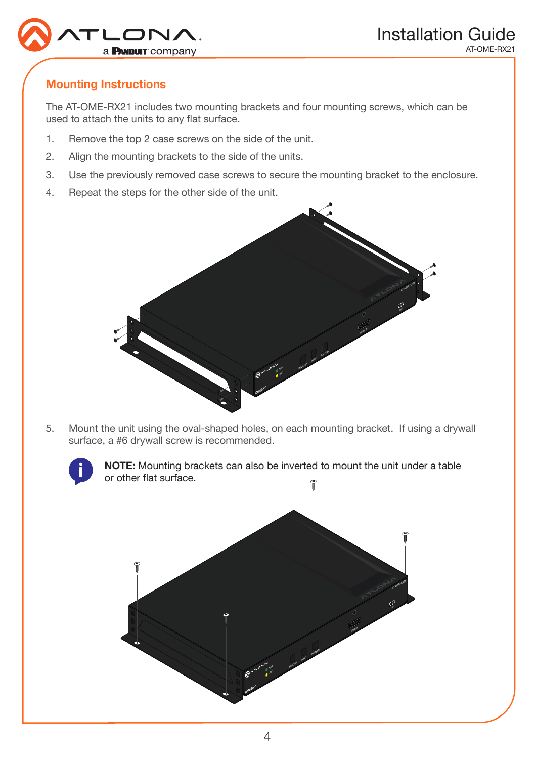

## Mounting Instructions

The AT-OME-RX21 includes two mounting brackets and four mounting screws, which can be used to attach the units to any flat surface.

- 1. Remove the top 2 case screws on the side of the unit.
- 2. Align the mounting brackets to the side of the units.
- 3. Use the previously removed case screws to secure the mounting bracket to the enclosure.
- 4. Repeat the steps for the other side of the unit.



5. Mount the unit using the oval-shaped holes, on each mounting bracket. If using a drywall surface, a #6 drywall screw is recommended.



NOTE: Mounting brackets can also be inverted to mount the unit under a table or other flat surface.

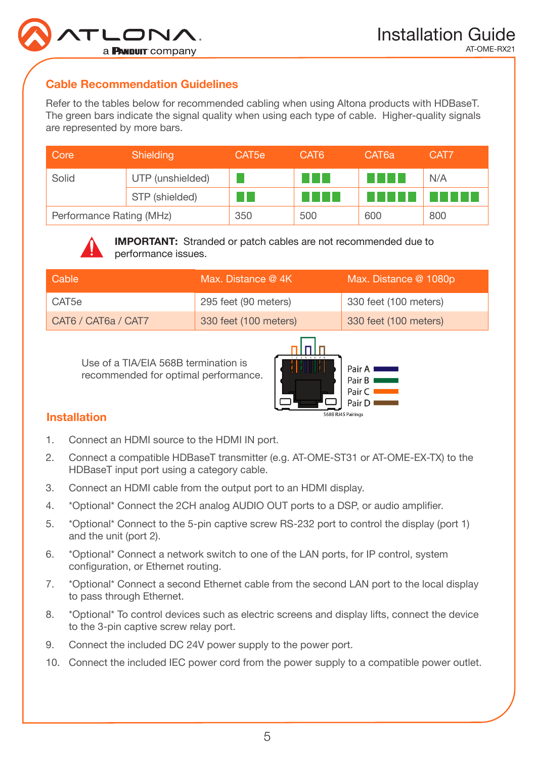

## Cable Recommendation Guidelines

Refer to the tables below for recommended cabling when using Altona products with HDBaseT. The green bars indicate the signal quality when using each type of cable. Higher-quality signals are represented by more bars.

| Core                     | Shielding        | CAT <sub>5e</sub> | CAT <sub>6</sub> | CAT <sub>6a</sub> | CAT7 |
|--------------------------|------------------|-------------------|------------------|-------------------|------|
| Solid                    | UTP (unshielded) |                   |                  |                   | N/A  |
|                          | STP (shielded)   |                   |                  |                   | .    |
| Performance Rating (MHz) |                  | 350               | 500              | 600               | 800  |



IMPORTANT: Stranded or patch cables are not recommended due to performance issues.

| Cable               | Max. Distance @ 4K    | Max. Distance @ 1080p |
|---------------------|-----------------------|-----------------------|
| CAT5e               | 295 feet (90 meters)  | 330 feet (100 meters) |
| CAT6 / CAT6a / CAT7 | 330 feet (100 meters) | 330 feet (100 meters) |

Use of a TIA/EIA 568B termination is recommended for optimal performance.



## Installation

- 1. Connect an HDMI source to the HDMI IN port.
- 2. Connect a compatible HDBaseT transmitter (e.g. AT-OME-ST31 or AT-OME-EX-TX) to the HDBaseT input port using a category cable.
- 3. Connect an HDMI cable from the output port to an HDMI display.
- 4. \*Optional\* Connect the 2CH analog AUDIO OUT ports to a DSP, or audio amplifier.
- 5. \*Optional\* Connect to the 5-pin captive screw RS-232 port to control the display (port 1) and the unit (port 2).
- 6. \*Optional\* Connect a network switch to one of the LAN ports, for IP control, system configuration, or Ethernet routing.
- 7. \*Optional\* Connect a second Ethernet cable from the second LAN port to the local display to pass through Ethernet.
- 8. \*Optional\* To control devices such as electric screens and display lifts, connect the device to the 3-pin captive screw relay port.
- 9. Connect the included DC 24V power supply to the power port.
- 10. Connect the included IEC power cord from the power supply to a compatible power outlet.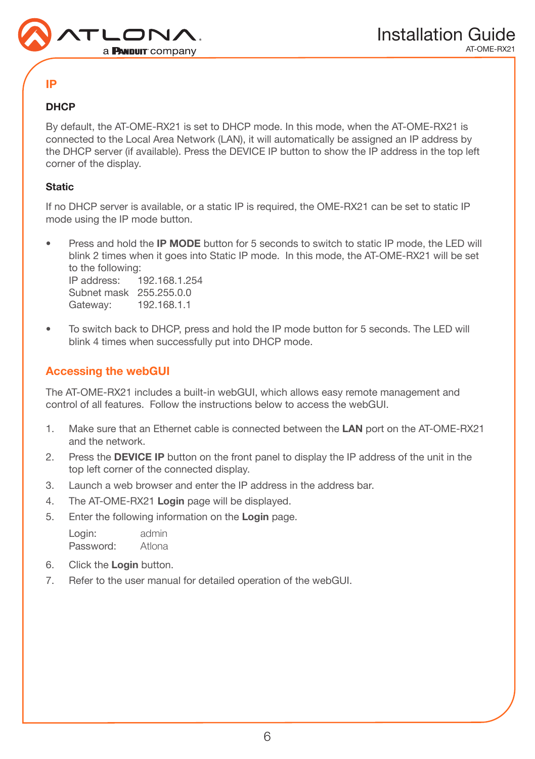

## IP

### **DHCP**

By default, the AT-OME-RX21 is set to DHCP mode. In this mode, when the AT-OME-RX21 is connected to the Local Area Network (LAN), it will automatically be assigned an IP address by the DHCP server (if available). Press the DEVICE IP button to show the IP address in the top left corner of the display.

### **Static**

If no DHCP server is available, or a static IP is required, the OME-RX21 can be set to static IP mode using the IP mode button.

- Press and hold the IP MODE button for 5 seconds to switch to static IP mode, the LED will blink 2 times when it goes into Static IP mode. In this mode, the AT-OME-RX21 will be set to the following: IP address: 192.168.1.254 Subnet mask 255.255.0.0 Gateway: 192.168.1.1
- To switch back to DHCP, press and hold the IP mode button for 5 seconds. The LED will blink 4 times when successfully put into DHCP mode.

## Accessing the webGUI

The AT-OME-RX21 includes a built-in webGUI, which allows easy remote management and control of all features. Follow the instructions below to access the webGUI.

- 1. Make sure that an Ethernet cable is connected between the LAN port on the AT-OME-RX21 and the network.
- 2. Press the DEVICE IP button on the front panel to display the IP address of the unit in the top left corner of the connected display.
- 3. Launch a web browser and enter the IP address in the address bar.
- 4. The AT-OME-RX21 Login page will be displayed.
- 5. Enter the following information on the Login page.

Login: admin Password: Atlona

- 6. Click the Login button.
- 7. Refer to the user manual for detailed operation of the webGUI.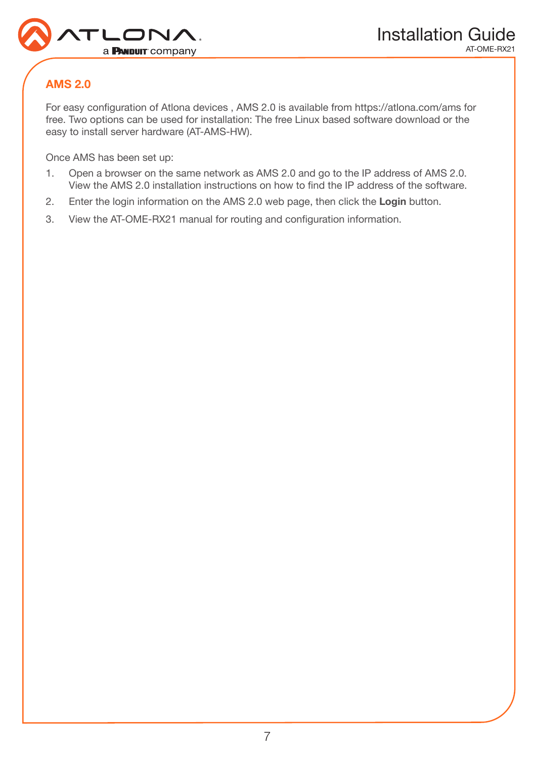

# AMS 2.0

For easy configuration of Atlona devices , AMS 2.0 is available from https://atlona.com/ams for free. Two options can be used for installation: The free Linux based software download or the easy to install server hardware (AT-AMS-HW).

Once AMS has been set up:

- 1. Open a browser on the same network as AMS 2.0 and go to the IP address of AMS 2.0. View the AMS 2.0 installation instructions on how to find the IP address of the software.
- 2. Enter the login information on the AMS 2.0 web page, then click the **Login** button.
- 3. View the AT-OME-RX21 manual for routing and configuration information.